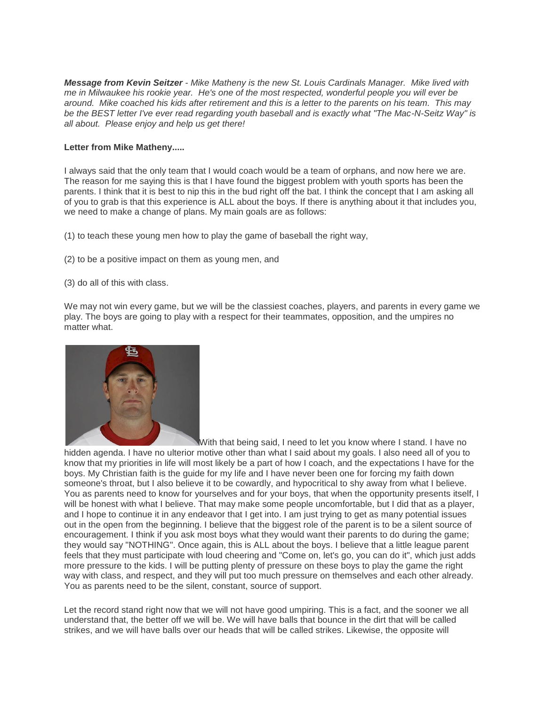*Message from Kevin Seitzer - Mike Matheny is the new St. Louis Cardinals Manager. Mike lived with me in Milwaukee his rookie year. He's one of the most respected, wonderful people you will ever be around. Mike coached his kids after retirement and this is a letter to the parents on his team. This may be the BEST letter I've ever read regarding youth baseball and is exactly what "The Mac-N-Seitz Way" is all about. Please enjoy and help us get there!*

## **Letter from Mike Matheny.....**

I always said that the only team that I would coach would be a team of orphans, and now here we are. The reason for me saying this is that I have found the biggest problem with youth sports has been the parents. I think that it is best to nip this in the bud right off the bat. I think the concept that I am asking all of you to grab is that this experience is ALL about the boys. If there is anything about it that includes you, we need to make a change of plans. My main goals are as follows:

(1) to teach these young men how to play the game of baseball the right way,

- (2) to be a positive impact on them as young men, and
- (3) do all of this with class.

We may not win every game, but we will be the classiest coaches, players, and parents in every game we play. The boys are going to play with a respect for their teammates, opposition, and the umpires no matter what.



[W](http://www.mac-n-seitz.com/images/stories/MikeMathenyA.jpg)ith that being said, I need to let you know where I stand. I have no

hidden agenda. I have no ulterior motive other than what I said about my goals. I also need all of you to know that my priorities in life will most likely be a part of how I coach, and the expectations I have for the boys. My Christian faith is the guide for my life and I have never been one for forcing my faith down someone's throat, but I also believe it to be cowardly, and hypocritical to shy away from what I believe. You as parents need to know for yourselves and for your boys, that when the opportunity presents itself, I will be honest with what I believe. That may make some people uncomfortable, but I did that as a player, and I hope to continue it in any endeavor that I get into. I am just trying to get as many potential issues out in the open from the beginning. I believe that the biggest role of the parent is to be a silent source of encouragement. I think if you ask most boys what they would want their parents to do during the game; they would say "NOTHING". Once again, this is ALL about the boys. I believe that a little league parent feels that they must participate with loud cheering and "Come on, let's go, you can do it", which just adds more pressure to the kids. I will be putting plenty of pressure on these boys to play the game the right way with class, and respect, and they will put too much pressure on themselves and each other already. You as parents need to be the silent, constant, source of support.

Let the record stand right now that we will not have good umpiring. This is a fact, and the sooner we all understand that, the better off we will be. We will have balls that bounce in the dirt that will be called strikes, and we will have balls over our heads that will be called strikes. Likewise, the opposite will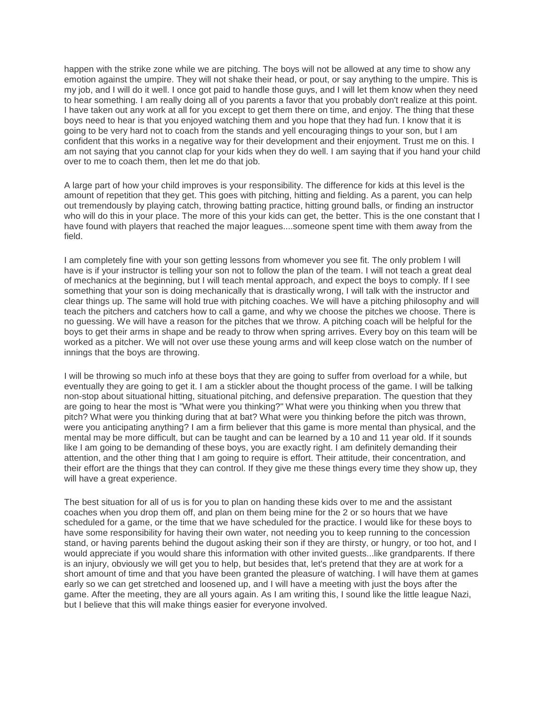happen with the strike zone while we are pitching. The boys will not be allowed at any time to show any emotion against the umpire. They will not shake their head, or pout, or say anything to the umpire. This is my job, and I will do it well. I once got paid to handle those guys, and I will let them know when they need to hear something. I am really doing all of you parents a favor that you probably don't realize at this point. I have taken out any work at all for you except to get them there on time, and enjoy. The thing that these boys need to hear is that you enjoyed watching them and you hope that they had fun. I know that it is going to be very hard not to coach from the stands and yell encouraging things to your son, but I am confident that this works in a negative way for their development and their enjoyment. Trust me on this. I am not saying that you cannot clap for your kids when they do well. I am saying that if you hand your child over to me to coach them, then let me do that job.

A large part of how your child improves is your responsibility. The difference for kids at this level is the amount of repetition that they get. This goes with pitching, hitting and fielding. As a parent, you can help out tremendously by playing catch, throwing batting practice, hitting ground balls, or finding an instructor who will do this in your place. The more of this your kids can get, the better. This is the one constant that I have found with players that reached the major leagues....someone spent time with them away from the field.

I am completely fine with your son getting lessons from whomever you see fit. The only problem I will have is if your instructor is telling your son not to follow the plan of the team. I will not teach a great deal of mechanics at the beginning, but I will teach mental approach, and expect the boys to comply. If I see something that your son is doing mechanically that is drastically wrong, I will talk with the instructor and clear things up. The same will hold true with pitching coaches. We will have a pitching philosophy and will teach the pitchers and catchers how to call a game, and why we choose the pitches we choose. There is no guessing. We will have a reason for the pitches that we throw. A pitching coach will be helpful for the boys to get their arms in shape and be ready to throw when spring arrives. Every boy on this team will be worked as a pitcher. We will not over use these young arms and will keep close watch on the number of innings that the boys are throwing.

I will be throwing so much info at these boys that they are going to suffer from overload for a while, but eventually they are going to get it. I am a stickler about the thought process of the game. I will be talking non-stop about situational hitting, situational pitching, and defensive preparation. The question that they are going to hear the most is "What were you thinking?" What were you thinking when you threw that pitch? What were you thinking during that at bat? What were you thinking before the pitch was thrown, were you anticipating anything? I am a firm believer that this game is more mental than physical, and the mental may be more difficult, but can be taught and can be learned by a 10 and 11 year old. If it sounds like I am going to be demanding of these boys, you are exactly right. I am definitely demanding their attention, and the other thing that I am going to require is effort. Their attitude, their concentration, and their effort are the things that they can control. If they give me these things every time they show up, they will have a great experience.

The best situation for all of us is for you to plan on handing these kids over to me and the assistant coaches when you drop them off, and plan on them being mine for the 2 or so hours that we have scheduled for a game, or the time that we have scheduled for the practice. I would like for these boys to have some responsibility for having their own water, not needing you to keep running to the concession stand, or having parents behind the dugout asking their son if they are thirsty, or hungry, or too hot, and I would appreciate if you would share this information with other invited guests...like grandparents. If there is an injury, obviously we will get you to help, but besides that, let's pretend that they are at work for a short amount of time and that you have been granted the pleasure of watching. I will have them at games early so we can get stretched and loosened up, and I will have a meeting with just the boys after the game. After the meeting, they are all yours again. As I am writing this, I sound like the little league Nazi, but I believe that this will make things easier for everyone involved.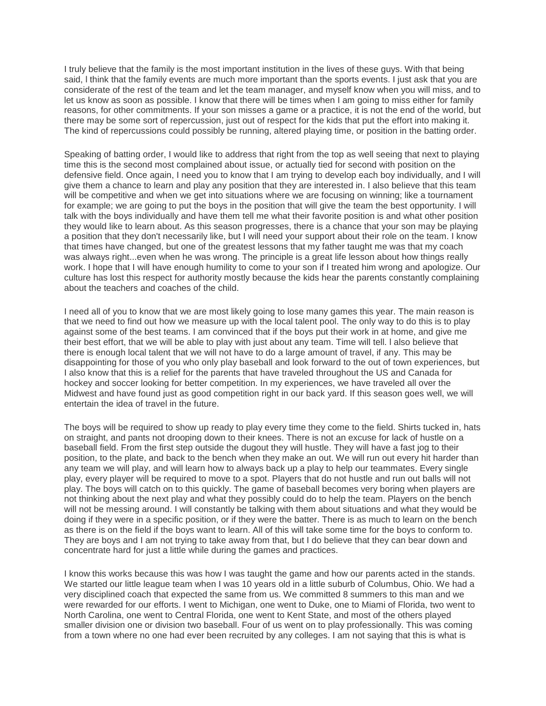I truly believe that the family is the most important institution in the lives of these guys. With that being said, l think that the family events are much more important than the sports events. I just ask that you are considerate of the rest of the team and let the team manager, and myself know when you will miss, and to let us know as soon as possible. I know that there will be times when I am going to miss either for family reasons, for other commitments. If your son misses a game or a practice, it is not the end of the world, but there may be some sort of repercussion, just out of respect for the kids that put the effort into making it. The kind of repercussions could possibly be running, altered playing time, or position in the batting order.

Speaking of batting order, I would like to address that right from the top as well seeing that next to playing time this is the second most complained about issue, or actually tied for second with position on the defensive field. Once again, I need you to know that I am trying to develop each boy individually, and I will give them a chance to learn and play any position that they are interested in. I also believe that this team will be competitive and when we get into situations where we are focusing on winning; like a tournament for example; we are going to put the boys in the position that will give the team the best opportunity. I will talk with the boys individually and have them tell me what their favorite position is and what other position they would like to learn about. As this season progresses, there is a chance that your son may be playing a position that they don't necessarily like, but I will need your support about their role on the team. I know that times have changed, but one of the greatest lessons that my father taught me was that my coach was always right...even when he was wrong. The principle is a great life lesson about how things really work. I hope that I will have enough humility to come to your son if I treated him wrong and apologize. Our culture has lost this respect for authority mostly because the kids hear the parents constantly complaining about the teachers and coaches of the child.

I need all of you to know that we are most likely going to lose many games this year. The main reason is that we need to find out how we measure up with the local talent pool. The only way to do this is to play against some of the best teams. I am convinced that if the boys put their work in at home, and give me their best effort, that we will be able to play with just about any team. Time will tell. l also believe that there is enough local talent that we will not have to do a large amount of travel, if any. This may be disappointing for those of you who only play baseball and look forward to the out of town experiences, but I also know that this is a relief for the parents that have traveled throughout the US and Canada for hockey and soccer looking for better competition. In my experiences, we have traveled all over the Midwest and have found just as good competition right in our back yard. If this season goes well, we will entertain the idea of travel in the future.

The boys will be required to show up ready to play every time they come to the field. Shirts tucked in, hats on straight, and pants not drooping down to their knees. There is not an excuse for lack of hustle on a baseball field. From the first step outside the dugout they will hustle. They will have a fast jog to their position, to the plate, and back to the bench when they make an out. We will run out every hit harder than any team we will play, and will learn how to always back up a play to help our teammates. Every single play, every player will be required to move to a spot. Players that do not hustle and run out balls will not play. The boys will catch on to this quickly. The game of baseball becomes very boring when players are not thinking about the next play and what they possibly could do to help the team. Players on the bench will not be messing around. I will constantly be talking with them about situations and what they would be doing if they were in a specific position, or if they were the batter. There is as much to learn on the bench as there is on the field if the boys want to learn. All of this will take some time for the boys to conform to. They are boys and I am not trying to take away from that, but I do believe that they can bear down and concentrate hard for just a little while during the games and practices.

I know this works because this was how I was taught the game and how our parents acted in the stands. We started our little league team when I was 10 years old in a little suburb of Columbus, Ohio. We had a very disciplined coach that expected the same from us. We committed 8 summers to this man and we were rewarded for our efforts. I went to Michigan, one went to Duke, one to Miami of Florida, two went to North Carolina, one went to Central Florida, one went to Kent State, and most of the others played smaller division one or division two baseball. Four of us went on to play professionally. This was coming from a town where no one had ever been recruited by any colleges. I am not saying that this is what is